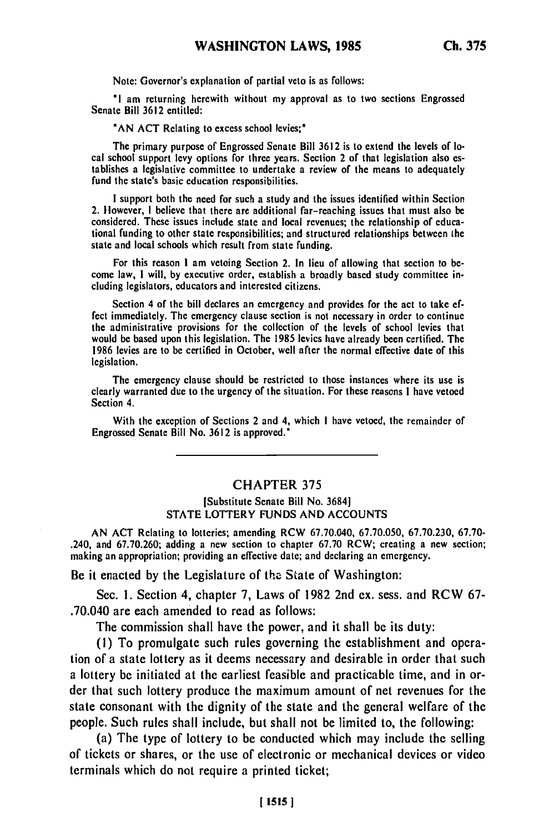Note: Governor's explanation of partial veto is as follows:

**"I** am returning herewith without my approval as to two sections Engrossed Senate Bill **3612** entitled:

**"AN ACT** Relating to excess school levies;\*

The primary purpose of Engrossed Senate Bill **3612** is to extend the levels of local school support levy options for three years. Section 2 of that legislation also establishes a legislative committee to undertake a review of the means to adequately fund the state's basic education responsibilities.

**I** support both the need for such a study and the issues identified within Section 2. However, **I** believe that there are additional far-reaching issues that must also be considered. These issues include state and local revenues; the relationship of educational funding to other state responsibilities; and structured relationships between the state and local schools which result from state funding.

For this reason **I** am vetoing Section 2. In lieu of allowing that section to become law, **I** will, **by** executive order, establish a broadly based study committee including legislators, educators and interested citizens.

Section 4 of the bill declares an emergency and provides for the act to take effect immediately. The emergency clause section is not necessary in order to continue the administrative provisions for the collection of the levels of school levies that would be based upon this legislation. The **1985** levies have already been certified. The **1986** levies are to **be** certified in October, well after the normal effective date of this legislation.

The emergency clause should be restricted to those instances where its use is clearly warranted due to the urgency of the situation. For these reasons **I** have vetoed Section 4.

With the exception of Sections 2 and 4, which **I** have vetoed, the remainder of Engrossed Senate Bill No. **3612** is approved."

## **CHAPTER 375**

## [Substitute Senate Bill No. **3684] STATE** LOTTERY **FUNDS AND ACCOUNTS**

**AN ACT** Relating to lotteries; amending RCW **67.70.040, 67.70.050, 67.70.230, 67.70-** .240, and **67.70.260;** adding a new section to chapter **67.70** RCW; creating a new section; making an appropriation; providing an effective date; and declaring an emergency.

Be it enacted **by** the Legislature of **the** State of Washington:

Sec. **1.** Section 4, chapter **7,** Laws of **1982** 2nd **cx.** sess. and **RCW 67-** .70.040 are each amended to read as follows:

The commission shall have the power, and it shall be its duty:

**(1)** To promulgate such rules governing the establishment and operation of a state lottery as it deems necessary and desirable in order that such a lottery be initiated at the earliest feasible and practicable time, and in order that such lottery produce the maximum amount of net revenues for the state consonant with the dignity of the state and the general welfare of the people. Such rules shall include, but shall not be limited to, the following:

(a) The type of lottery to be conducted which may include the selling of tickets or shares, or the use of electronic or mechanical devices or video terminals which do not require a printed ticket;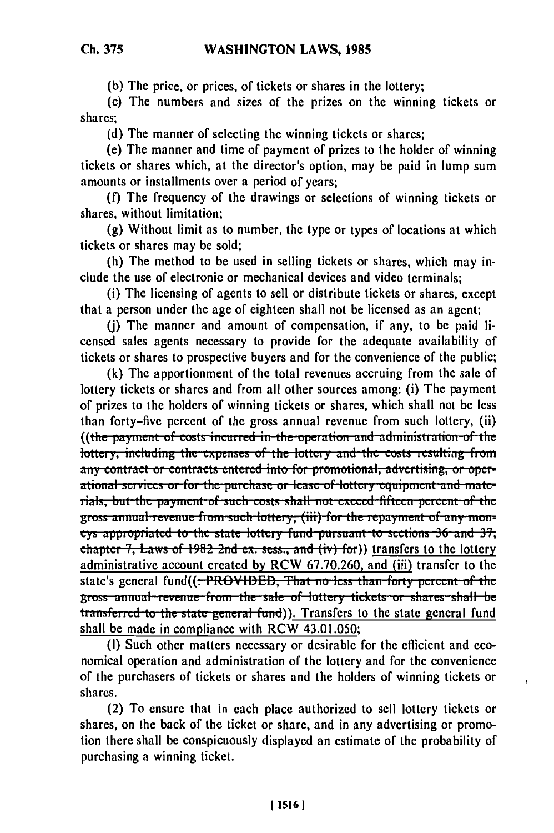(b) The price, or prices, of tickets or shares in the lottery;

(c) The numbers and sizes of the prizes on the winning tickets or shares:

(d) The manner of selecting the winning tickets or shares;

(e) The manner and time of payment of prizes to the holder of winning tickets or shares which, at the director's option, may be paid in lump sum amounts or installments over a period of vears:

(f) The frequency of the drawings or selections of winning tickets or shares, without limitation;

(g) Without limit as to number, the type or types of locations at which tickets or shares may be sold;

(h) The method to be used in selling tickets or shares, which may include the use of electronic or mechanical devices and video terminals;

(i) The licensing of agents to sell or distribute tickets or shares, except that a person under the age of eighteen shall not be licensed as an agent;

(i) The manner and amount of compensation, if any, to be paid licensed sales agents necessary to provide for the adequate availability of tickets or shares to prospective buyers and for the convenience of the public;

(k) The apportionment of the total revenues accruing from the sale of lottery tickets or shares and from all other sources among: (i) The payment of prizes to the holders of winning tickets or shares, which shall not be less than forty-five percent of the gross annual revenue from such lottery, (ii) ((the payment of costs incurred in the operation and administration of the lottery, including the expenses of the lottery and the costs resulting from any contract or contracts entered into for promotional, advertising, or operational services or for the purchase or lease of lottery equipment and materials, but the payment of such costs shall not exceed fifteen percent of the gross annual revenue from such lottery, (iii) for the repayment of any moneys appropriated to the state lottery fund pursuant to sections 36 and 37, chapter 7, Laws of 1982 2nd ex. sess., and  $(iv)$  for)) transfers to the lottery administrative account created by RCW 67.70.260, and (iii) transfer to the state's general fund((<del>: PROVIDED, That no less than forty percent of the</del> gross annual revenue from the sale of lottery tickets or shares shall be transferred to the state general fund)). Transfers to the state general fund shall be made in compliance with RCW 43.01.050;

(I) Such other matters necessary or desirable for the efficient and economical operation and administration of the lottery and for the convenience of the purchasers of tickets or shares and the holders of winning tickets or shares.

(2) To ensure that in each place authorized to sell lottery tickets or shares, on the back of the ticket or share, and in any advertising or promotion there shall be conspicuously displayed an estimate of the probability of purchasing a winning ticket.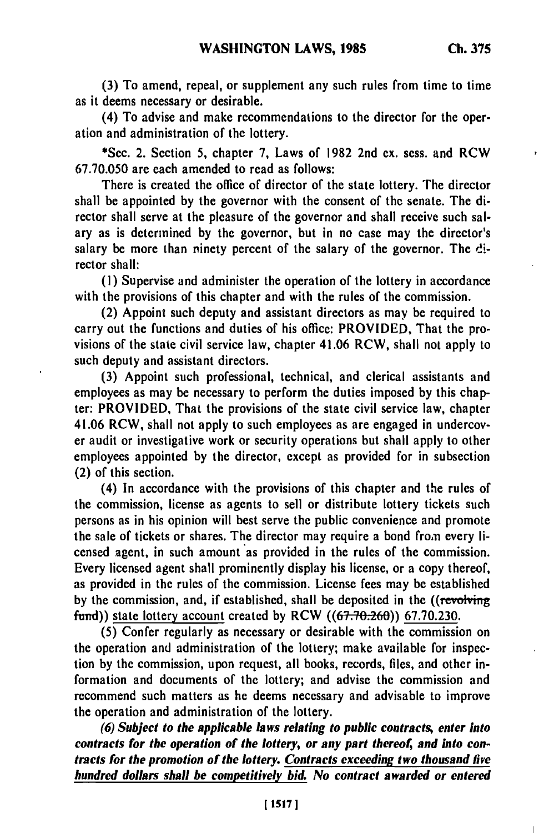**(3)** To amend, repeal, or supplement any such rules from time to time as it deems necessary or desirable.

(4) To advise and make recommendations to the director for the operation and administration of the lottery.

\*Sec. 2. Section **5,** chapter **7,** Laws of **1982** 2nd ex. sess. and RCW **67.70.050** are each amended to read as follows:

There is created the office of director of the state lottery. The director shall be appointed **by** the governor with the consent of **the** senate. The director shall serve at the pleasure of the governor and shall receive such salary as is determined **by** the governor, but in no case may the director's salary be more than ninety percent of the salary of the governor. The **di**rector shall:

**(1)** Supervise and administer the operation of the lottery in accordance with the provisions of this chapter and with the rules of the commission.

(2) Appoint such deputy and assistant directors as may be required to carry out the functions and duties of his office: PROVIDED, That the provisions of the state civil service law, chapter 41.06 RCW, shall not apply to such deputy and assistant directors.

**(3)** Appoint such professional, technical, and clerical assistants and employees as may be necessary to perform the duties imposed **by** this chapter: PROVIDED, That the provisions of the state civil service law, chapter 41.06 RCW, shall not apply to such employees as are engaged in undercover audit or investigative work or security operations but shall apply to other employees appointed **by** the director, except as provided for in subsection (2) of this section.

(4) In accordance with the provisions of this chapter and the rules of the commission, license as agents to sell or distribute lottery tickets such persons as in his opinion will best serve the public convenience and promote the sale of tickets or shares. The director may require a bond from every licensed agent, in such amount as provided in the rules of the commission. Every licensed agent shall prominently display his license, or a copy thereof, as provided in the rules of the commission. License fees may be established **by** the commission, and, if established, shall be deposited in the ((revolving fund)) state lottery account created by RCW ((67.70.260)) 67.70.230.

**(5)** Confer regularly as necessary or desirable with the commission on the operation and administration of the lottery; make available for inspection **by** the commission, upon request, all books, records, files, and other information and documents of the lottery; and advise the commission and recommend such matters as he deems necessary and advisable to improve the operation and administration of the lottery.

*(6) Subject to the applicable laws relating to public contracts, enter into contracts for the operation of the lottery, or any part thereof, and into contracts for the promotion of the lottery. Contracts exceeding two thousand five hundred dollars shall* **be** *competitively bid. No contract awarded or entered*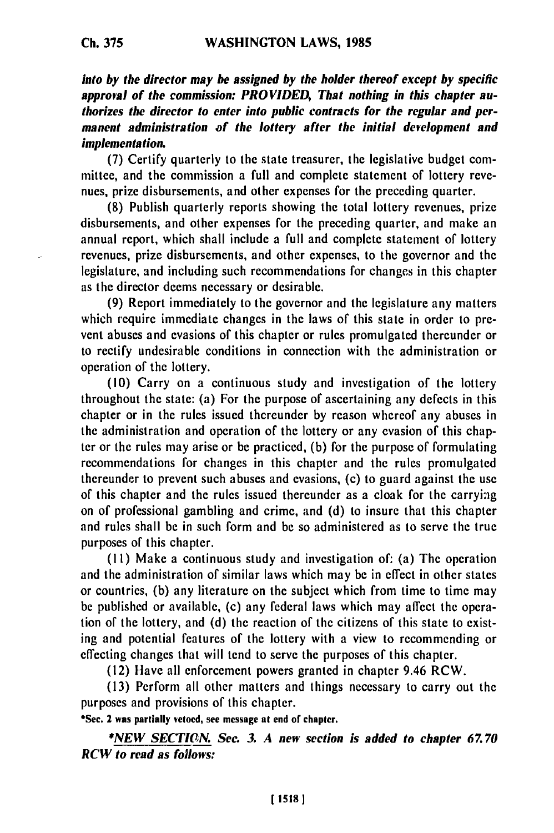**into by** *the director may be assigned by the holder thereof except by specific* **approval of the** *commission: PROVIDED, That nothing in this chapter authorizes the director to enter into public contracts for the regular and permanent administration of the lottery after the initial development and implementation.*

**(7)** Certify quarterly to the state treasurer, the legislative budget committee, and the commission a full and complete statement **of** lottery revenues, prize disbursements, and other expenses for the preceding quarter.

**(8)** Publish quarterly reports showing the total lottery revenues, prize disbursements, and other expenses for the preceding quarter, and make an annual report, which shall include a full and complete statement of lottery revenues, prize disbursements, and other expenses, to the governor and the legislature, and including such recommendations for changes in this chapter as the director deems necessary or desirable.

**(9)** Report immediately to the governor and the legislature any matters which require immediate changes in the laws of this state in order to prevent abuses and evasions of this chapter or rules promulgated thereunder or to rectify undesirable conditions in connection with the administration or operation of the lottery.

**(10)** Carry on a continuous study and investigation of the lottery throughout the state: (a) For the purpose of ascertaining any defects in this chapter or in the rules issued thcreunder **by** reason whereof any abuses in the administration and operation of the lottery or any evasion of this chapter or the rules may arise or be practiced, **(b)** for the purpose of formulating recommendations for changes in this chapter and the rules promulgated thereunder to prevent such abuses and cvasions, (c) to guard against the use of this chapter and the rules issued thereunder as a cloak for the carrying on of professional gambling and crime, and **(d)** to insure that this chapter and rules shall be in such form and be so administered as to serve the true purposes of this chapter.

**(11)** Make a continuous study and investigation of: (a) The operation and the administration of similar laws which may be in effect in other states or countries, **(b)** any literature on the subject which from time to time may **be** published or available, (c) any federal laws which may affect the operation of the lottery, and **(d)** the reaction of the citizens of this state to existing and potential features of the lottery with a view to recommending or effecting changes that will tend to serve the purposes of this chapter.

(12) Have all enforcement powers granted in chapter 9.46 RCW.

**(13)** Perform all other matters and things necessary to carry out the purposes and provisions of this chapter.

**\*Sec. 2 was partially vetoed, see message at end of chapter.**

**\*NEW** *SECTION. Sec. 3. A new section is added to chapter 67.70 RCW to read as follows:*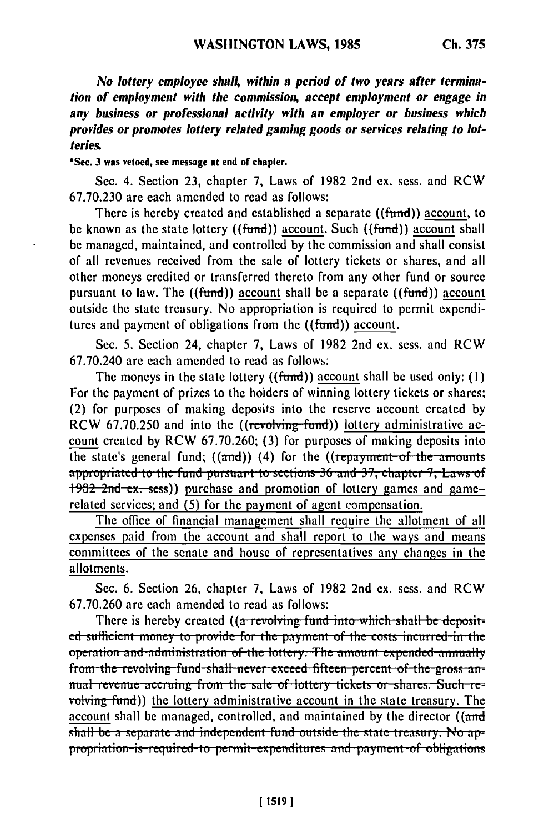*No lottery employee shall, within a period of two years after termination of employment with the commission, accept employment or engage in any business or professional activity with an employer or business which provides or promotes lottery related gaming goods or services relating to lotteries.*

**\*Sec. 3 was vetoed, see message at end of chapter.**

Sec. 4. Section **23,** chapter **7,** Laws of 1982 2nd ex. sess. and RCW 67.70.230 are each amended to read as follows:

There is hereby created and established a separate ((fund)) account, to be known as the state lottery ((fund)) account. Such ((fund)) account shall be managed, maintained, and controlled by the commission and shall consist of all revenues received from the sale of lottery tickets or shares, and all other moneys credited or transferred thereto from any other fund or source pursuant to law. The  $((fund))$  account shall be a separate  $((fund))$  account outside the state treasury. No appropriation is required to permit expenditures and payment of obligations from the ((fund)) account.

Sec. 5. Section 24, chapter 7, Laws of 1982 2nd ex. sess. and RCW 67.70.240 are each amended to read as follows:

The moneys in the state lottery ((fund)) account shall be used only: (1) For the payment of prizes to the hoiders of winning lottery tickets or shares; (2) for purposes of making deposits into the reserve account created by RCW 67.70.250 and into the ((revolving fund)) lottery administrative account created by RCW 67.70.260; (3) for purposes of making deposits into the state's general fund;  $((\text{and}))$  (4) for the  $((\text{repayment of the amounts})$ appropriated to the fund pursuant to sections 36 and 37, chapter 7, Laws of 1982 2nd ex. sess)) purchase and promotion of lottery games and gamerelated services; and **(5)** for the payment of agent compensation.

The office of financial management shall require the allotment of all expenses paid from the account and shall report to the ways and means committees of the senate and house of representatives any changes in the allotments.

Sec. 6. Section 26, chapter 7, Laws of 1982 2nd ex. sess. and RCW 67.70.260 are each amended to read as follows:

There is hereby created ((a revolving fund into which shall be deposit**ed** sufficient money to provide for the payment of the costs incurred in the **operation and administration of the lottery. The amount expended annually from the revolving fund shall never exceed fifteen percent of the gross an**nual revenue accruing from the sale of lottery tickets or shares. Such re-<br>volving fund)) the lottery administrative account in the state treasury. The account shall be managed, controlled, and maintained by the director ((and shall be a separate and independent fund outside the state treasury. No appropriation is required to permit expenditures and payment of obligations